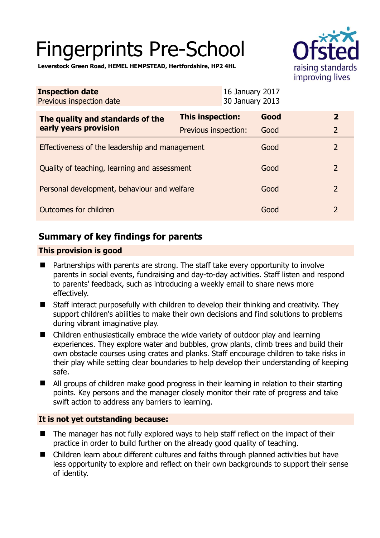# Fingerprints Pre-School



**Leverstock Green Road, HEMEL HEMPSTEAD, Hertfordshire, HP2 4HL** 

| <b>Inspection date</b><br>Previous inspection date |                      | 16 January 2017<br>30 January 2013 |                         |  |
|----------------------------------------------------|----------------------|------------------------------------|-------------------------|--|
| The quality and standards of the                   | This inspection:     | Good                               | $\overline{\mathbf{2}}$ |  |
| early years provision                              | Previous inspection: | Good                               | $\overline{2}$          |  |
| Effectiveness of the leadership and management     |                      | Good                               | $\overline{2}$          |  |
| Quality of teaching, learning and assessment       |                      | Good                               | 2                       |  |
| Personal development, behaviour and welfare        |                      | Good                               | 2                       |  |
| Outcomes for children                              |                      | Good                               | $\overline{2}$          |  |

# **Summary of key findings for parents**

## **This provision is good**

- Partnerships with parents are strong. The staff take every opportunity to involve parents in social events, fundraising and day-to-day activities. Staff listen and respond to parents' feedback, such as introducing a weekly email to share news more effectively.
- Staff interact purposefully with children to develop their thinking and creativity. They support children's abilities to make their own decisions and find solutions to problems during vibrant imaginative play.
- Children enthusiastically embrace the wide variety of outdoor play and learning experiences. They explore water and bubbles, grow plants, climb trees and build their own obstacle courses using crates and planks. Staff encourage children to take risks in their play while setting clear boundaries to help develop their understanding of keeping safe.
- All groups of children make good progress in their learning in relation to their starting points. Key persons and the manager closely monitor their rate of progress and take swift action to address any barriers to learning.

## **It is not yet outstanding because:**

- The manager has not fully explored ways to help staff reflect on the impact of their practice in order to build further on the already good quality of teaching.
- Children learn about different cultures and faiths through planned activities but have less opportunity to explore and reflect on their own backgrounds to support their sense of identity.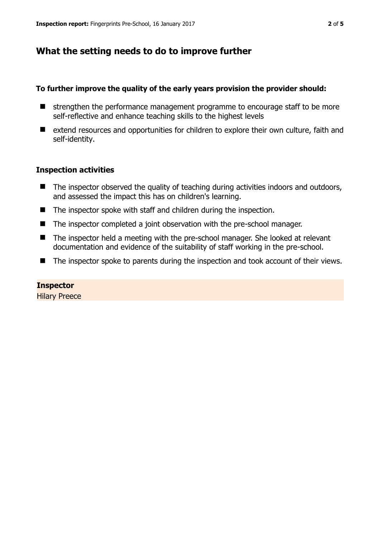# **What the setting needs to do to improve further**

### **To further improve the quality of the early years provision the provider should:**

- $\blacksquare$  strengthen the performance management programme to encourage staff to be more self-reflective and enhance teaching skills to the highest levels
- extend resources and opportunities for children to explore their own culture, faith and self-identity.

## **Inspection activities**

- $\blacksquare$  The inspector observed the quality of teaching during activities indoors and outdoors, and assessed the impact this has on children's learning.
- The inspector spoke with staff and children during the inspection.
- The inspector completed a joint observation with the pre-school manager.
- The inspector held a meeting with the pre-school manager. She looked at relevant documentation and evidence of the suitability of staff working in the pre-school.
- The inspector spoke to parents during the inspection and took account of their views.

# **Inspector**

Hilary Preece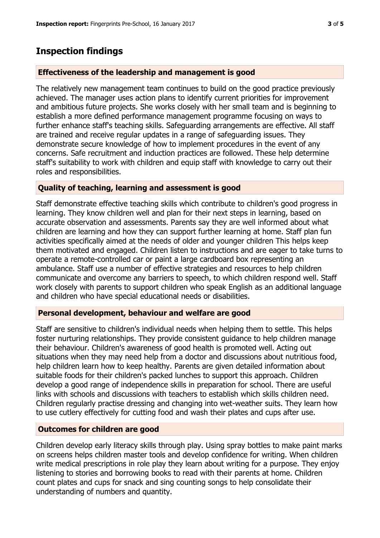## **Inspection findings**

#### **Effectiveness of the leadership and management is good**

The relatively new management team continues to build on the good practice previously achieved. The manager uses action plans to identify current priorities for improvement and ambitious future projects. She works closely with her small team and is beginning to establish a more defined performance management programme focusing on ways to further enhance staff's teaching skills. Safeguarding arrangements are effective. All staff are trained and receive regular updates in a range of safeguarding issues. They demonstrate secure knowledge of how to implement procedures in the event of any concerns. Safe recruitment and induction practices are followed. These help determine staff's suitability to work with children and equip staff with knowledge to carry out their roles and responsibilities.

#### **Quality of teaching, learning and assessment is good**

Staff demonstrate effective teaching skills which contribute to children's good progress in learning. They know children well and plan for their next steps in learning, based on accurate observation and assessments. Parents say they are well informed about what children are learning and how they can support further learning at home. Staff plan fun activities specifically aimed at the needs of older and younger children This helps keep them motivated and engaged. Children listen to instructions and are eager to take turns to operate a remote-controlled car or paint a large cardboard box representing an ambulance. Staff use a number of effective strategies and resources to help children communicate and overcome any barriers to speech, to which children respond well. Staff work closely with parents to support children who speak English as an additional language and children who have special educational needs or disabilities.

#### **Personal development, behaviour and welfare are good**

Staff are sensitive to children's individual needs when helping them to settle. This helps foster nurturing relationships. They provide consistent guidance to help children manage their behaviour. Children's awareness of good health is promoted well. Acting out situations when they may need help from a doctor and discussions about nutritious food, help children learn how to keep healthy. Parents are given detailed information about suitable foods for their children's packed lunches to support this approach. Children develop a good range of independence skills in preparation for school. There are useful links with schools and discussions with teachers to establish which skills children need. Children regularly practise dressing and changing into wet-weather suits. They learn how to use cutlery effectively for cutting food and wash their plates and cups after use.

#### **Outcomes for children are good**

Children develop early literacy skills through play. Using spray bottles to make paint marks on screens helps children master tools and develop confidence for writing. When children write medical prescriptions in role play they learn about writing for a purpose. They enjoy listening to stories and borrowing books to read with their parents at home. Children count plates and cups for snack and sing counting songs to help consolidate their understanding of numbers and quantity.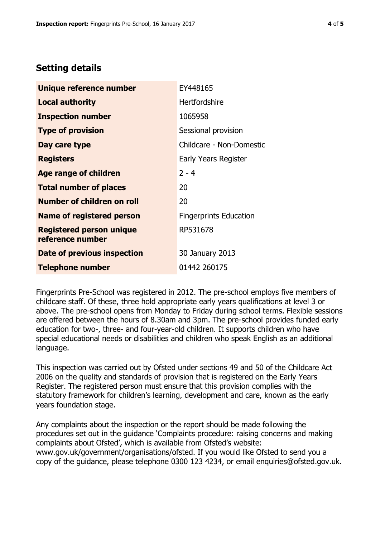# **Setting details**

| Unique reference number                             | EY448165                      |  |
|-----------------------------------------------------|-------------------------------|--|
| <b>Local authority</b>                              | <b>Hertfordshire</b>          |  |
| <b>Inspection number</b>                            | 1065958                       |  |
| <b>Type of provision</b>                            | Sessional provision           |  |
| Day care type                                       | Childcare - Non-Domestic      |  |
| <b>Registers</b>                                    | Early Years Register          |  |
| Age range of children                               | $2 - 4$                       |  |
| <b>Total number of places</b>                       | 20                            |  |
| <b>Number of children on roll</b>                   | 20                            |  |
| <b>Name of registered person</b>                    | <b>Fingerprints Education</b> |  |
| <b>Registered person unique</b><br>reference number | RP531678                      |  |
| Date of previous inspection                         | 30 January 2013               |  |
| <b>Telephone number</b>                             | 01442 260175                  |  |

Fingerprints Pre-School was registered in 2012. The pre-school employs five members of childcare staff. Of these, three hold appropriate early years qualifications at level 3 or above. The pre-school opens from Monday to Friday during school terms. Flexible sessions are offered between the hours of 8.30am and 3pm. The pre-school provides funded early education for two-, three- and four-year-old children. It supports children who have special educational needs or disabilities and children who speak English as an additional language.

This inspection was carried out by Ofsted under sections 49 and 50 of the Childcare Act 2006 on the quality and standards of provision that is registered on the Early Years Register. The registered person must ensure that this provision complies with the statutory framework for children's learning, development and care, known as the early years foundation stage.

Any complaints about the inspection or the report should be made following the procedures set out in the guidance 'Complaints procedure: raising concerns and making complaints about Ofsted', which is available from Ofsted's website: www.gov.uk/government/organisations/ofsted. If you would like Ofsted to send you a copy of the guidance, please telephone 0300 123 4234, or email enquiries@ofsted.gov.uk.